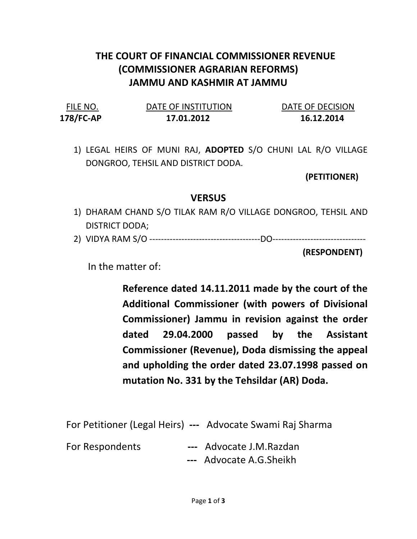## THE COURT OF FINANCIAL COMMISSIONER REVENUE (COMMISSIONER AGRARIAN REFORMS) JAMMU AND KASHMIR AT JAMMU

| FILE NO.  | DATE OF INSTITUTION | DATE OF DECISION |
|-----------|---------------------|------------------|
| 178/FC-AP | 17.01.2012          | 16.12.2014       |

1) LEGAL HEIRS OF MUNI RAJ, ADOPTED S/O CHUNI LAL R/O VILLAGE DONGROO, TEHSIL AND DISTRICT DODA.

(PETITIONER)

## **VERSUS**

- 1) DHARAM CHAND S/O TILAK RAM R/O VILLAGE DONGROO, TEHSIL AND DISTRICT DODA;
- 2) VIDYA RAM S/O --------------------------------------DO--------------------------------

(RESPONDENT)

In the matter of:

Reference dated 14.11.2011 made by the court of the Additional Commissioner (with powers of Divisional Commissioner) Jammu in revision against the order dated 29.04.2000 passed by the Assistant Commissioner (Revenue), Doda dismissing the appeal and upholding the order dated 23.07.1998 passed on mutation No. 331 by the Tehsildar (AR) Doda.

For Petitioner (Legal Heirs) --- Advocate Swami Raj Sharma

For Respondents --- Advocate J.M.Razdan

--- Advocate A.G.Sheikh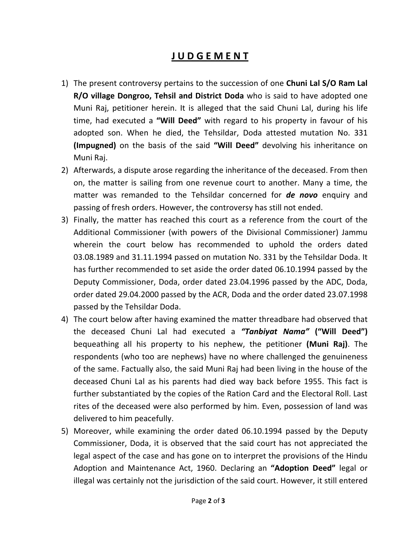## J U D G E M E N T

- 1) The present controversy pertains to the succession of one Chuni Lal S/O Ram Lal R/O village Dongroo, Tehsil and District Doda who is said to have adopted one Muni Raj, petitioner herein. It is alleged that the said Chuni Lal, during his life time, had executed a "Will Deed" with regard to his property in favour of his adopted son. When he died, the Tehsildar, Doda attested mutation No. 331 (Impugned) on the basis of the said "Will Deed" devolving his inheritance on Muni Raj.
- 2) Afterwards, a dispute arose regarding the inheritance of the deceased. From then on, the matter is sailing from one revenue court to another. Many a time, the matter was remanded to the Tehsildar concerned for **de novo** enquiry and passing of fresh orders. However, the controversy has still not ended.
- 3) Finally, the matter has reached this court as a reference from the court of the Additional Commissioner (with powers of the Divisional Commissioner) Jammu wherein the court below has recommended to uphold the orders dated 03.08.1989 and 31.11.1994 passed on mutation No. 331 by the Tehsildar Doda. It has further recommended to set aside the order dated 06.10.1994 passed by the Deputy Commissioner, Doda, order dated 23.04.1996 passed by the ADC, Doda, order dated 29.04.2000 passed by the ACR, Doda and the order dated 23.07.1998 passed by the Tehsildar Doda.
- 4) The court below after having examined the matter threadbare had observed that the deceased Chuni Lal had executed a "Tanbiyat Nama" ("Will Deed") bequeathing all his property to his nephew, the petitioner (Muni Raj). The respondents (who too are nephews) have no where challenged the genuineness of the same. Factually also, the said Muni Raj had been living in the house of the deceased Chuni Lal as his parents had died way back before 1955. This fact is further substantiated by the copies of the Ration Card and the Electoral Roll. Last rites of the deceased were also performed by him. Even, possession of land was delivered to him peacefully.
- 5) Moreover, while examining the order dated 06.10.1994 passed by the Deputy Commissioner, Doda, it is observed that the said court has not appreciated the legal aspect of the case and has gone on to interpret the provisions of the Hindu Adoption and Maintenance Act, 1960. Declaring an "Adoption Deed" legal or illegal was certainly not the jurisdiction of the said court. However, it still entered